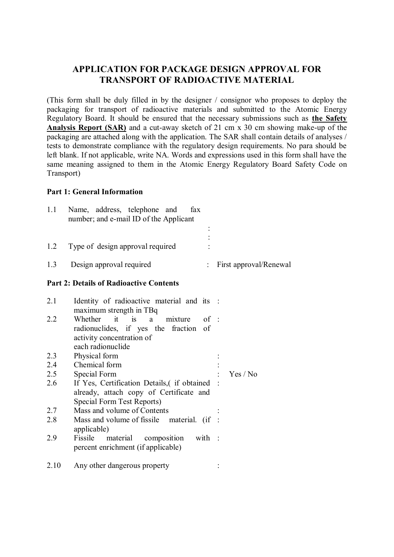## **APPLICATION FOR PACKAGE DESIGN APPROVAL FOR TRANSPORT OF RADIOACTIVE MATERIAL**

(This form shall be duly filled in by the designer / consignor who proposes to deploy the packaging for transport of radioactive materials and submitted to the Atomic Energy Regulatory Board. It should be ensured that the necessary submissions such as **the Safety Analysis Report (SAR)** and a cut-away sketch of 21 cm x 30 cm showing make-up of the packaging are attached along with the application. The SAR shall contain details of analyses / tests to demonstrate compliance with the regulatory design requirements. No para should be left blank. If not applicable, write NA. Words and expressions used in this form shall have the same meaning assigned to them in the Atomic Energy Regulatory Board Safety Code on Transport)

## **Part 1: General Information**

| 1.1                                            | Name, address, telephone and<br>number; and e-mail ID of the Applicant | fax |                          |  |  |
|------------------------------------------------|------------------------------------------------------------------------|-----|--------------------------|--|--|
|                                                |                                                                        |     |                          |  |  |
| 1.2                                            | Type of design approval required                                       |     |                          |  |  |
| 1.3                                            | Design approval required                                               |     | : First approval/Renewal |  |  |
| <b>Part 2: Details of Radioactive Contents</b> |                                                                        |     |                          |  |  |
| 2.1                                            | Identity of radioactive material and its :<br>maximum strength in TBq  |     |                          |  |  |

| 2.2  | Whether it is a<br>of :<br>mixture            |  |          |  |
|------|-----------------------------------------------|--|----------|--|
|      | radionuclides, if yes the fraction of         |  |          |  |
|      | activity concentration of                     |  |          |  |
|      | each radionuclide                             |  |          |  |
| 2.3  | Physical form                                 |  |          |  |
| 2.4  | Chemical form                                 |  |          |  |
| 2.5  | Special Form                                  |  | Yes / No |  |
| 2.6  | If Yes, Certification Details, (if obtained : |  |          |  |
|      | already, attach copy of Certificate and       |  |          |  |
|      | Special Form Test Reports)                    |  |          |  |
| 2.7  | Mass and volume of Contents                   |  |          |  |
| 2.8  | Mass and volume of fissile material. (if :    |  |          |  |
|      | applicable)                                   |  |          |  |
| 2.9  | Fissile<br>material composition<br>with :     |  |          |  |
|      | percent enrichment (if applicable)            |  |          |  |
|      |                                               |  |          |  |
| 2.10 | Any other dangerous property                  |  |          |  |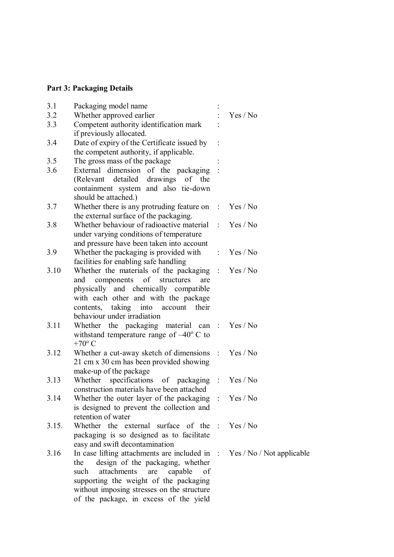## **Part 3: Packaging Details**

| 3.1   | Packaging model name                                                                                                                                                                                                                                                                                     |          |
|-------|----------------------------------------------------------------------------------------------------------------------------------------------------------------------------------------------------------------------------------------------------------------------------------------------------------|----------|
| 3.2   | Whether approved earlier                                                                                                                                                                                                                                                                                 | Yes / No |
| 3.3   | Competent authority identification mark<br>if previously allocated.                                                                                                                                                                                                                                      |          |
| 3.4   | Date of expiry of the Certificate issued by<br>the competent authority, if applicable.                                                                                                                                                                                                                   |          |
| 3.5   | The gross mass of the package                                                                                                                                                                                                                                                                            |          |
| 3.6   | External dimension of the packaging :<br>(Relevant detailed drawings of the<br>containment system and also tie-down<br>should be attached.)                                                                                                                                                              |          |
| 3.7   | Whether there is any protruding feature on : Yes / No<br>the external surface of the packaging.                                                                                                                                                                                                          |          |
| 3.8   | Whether behaviour of radioactive material : Yes / No<br>under varying conditions of temperature<br>and pressure have been taken into account                                                                                                                                                             |          |
| 3.9   | Whether the packaging is provided with<br>facilities for enabling safe handling                                                                                                                                                                                                                          | Yes/No   |
| 3.10  | Whether the materials of the packaging : Yes / No<br>components<br>of structures<br>and<br>are<br>physically and chemically compatible<br>with each other and with the package<br>contents, taking into account<br>their<br>behaviour under irradiation                                                  |          |
| 3.11  | Whether the packaging material can: Yes/No<br>withstand temperature range of $-40^{\circ}$ C to<br>$+70^{\circ}$ C                                                                                                                                                                                       |          |
| 3.12  | Whether a cut-away sketch of dimensions : Yes / No<br>21 cm x 30 cm has been provided showing<br>make-up of the package                                                                                                                                                                                  |          |
| 3.13  | Whether specifications of packaging : Yes / No<br>construction materials have been attached                                                                                                                                                                                                              |          |
| 3.14  | Whether the outer layer of the packaging : Yes / No<br>is designed to prevent the collection and<br>retention of water                                                                                                                                                                                   |          |
| 3.15. | Whether the external surface of the : Yes/No<br>packaging is so designed as to facilitate<br>easy and swift decontamination                                                                                                                                                                              |          |
| 3.16  | In case lifting attachments are included in $\therefore$ Yes / No / Not applicable<br>design of the packaging, whether<br>the<br>attachments are capable<br>such<br>of<br>supporting the weight of the packaging<br>without imposing stresses on the structure<br>of the package, in excess of the yield |          |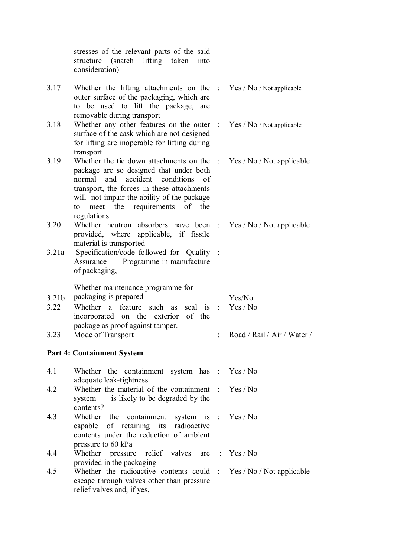|                   | stresses of the relevant parts of the said<br>(snatch lifting taken)<br>structure<br>into<br>consideration)                                                                                                                                                                                                      |                             |
|-------------------|------------------------------------------------------------------------------------------------------------------------------------------------------------------------------------------------------------------------------------------------------------------------------------------------------------------|-----------------------------|
| 3.17              | Whether the lifting attachments on the : $Yes / No / Not$ applicable<br>outer surface of the packaging, which are<br>to be used to lift the package, are<br>removable during transport                                                                                                                           |                             |
| 3.18              | Whether any other features on the outer $\therefore$ Yes / No / Not applicable<br>surface of the cask which are not designed<br>for lifting are inoperable for lifting during<br>transport                                                                                                                       |                             |
| 3.19              | Whether the tie down attachments on the $\therefore$ Yes / No / Not applicable<br>package are so designed that under both<br>normal and accident conditions of<br>transport, the forces in these attachments<br>will not impair the ability of the package<br>meet the requirements of the<br>to<br>regulations. |                             |
| 3.20              | Whether neutron absorbers have been : Yes / No / Not applicable<br>provided, where applicable, if fissile<br>material is transported                                                                                                                                                                             |                             |
| 3.21a             | Specification/code followed for Quality :<br>Programme in manufacture<br>Assurance<br>of packaging,                                                                                                                                                                                                              |                             |
|                   | Whether maintenance programme for                                                                                                                                                                                                                                                                                |                             |
| 3.21 <sub>b</sub> | packaging is prepared                                                                                                                                                                                                                                                                                            | Yes/No                      |
| 3.22              | Whether a feature such as<br>seal is :<br>incorporated on the exterior of the<br>package as proof against tamper.                                                                                                                                                                                                | Yes / No                    |
| 3.23              | Mode of Transport                                                                                                                                                                                                                                                                                                | Road / Rail / Air / Water / |
|                   | <b>Part 4: Containment System</b>                                                                                                                                                                                                                                                                                |                             |
| 4.1               | Whether the containment system has : Yes / No<br>adequate leak-tightness                                                                                                                                                                                                                                         |                             |
| 4.2               | Whether the material of the containment $: Yes/No$<br>is likely to be degraded by the<br>system<br>contents?                                                                                                                                                                                                     |                             |
| 4.3               | Whether the containment<br>system is : Yes / No<br>capable of retaining its<br>radioactive<br>contents under the reduction of ambient<br>pressure to 60 kPa                                                                                                                                                      |                             |
| 4.4               | Whether pressure relief valves are : Yes / No<br>provided in the packaging                                                                                                                                                                                                                                       |                             |
| 4.5               | Whether the radioactive contents could : Yes / No / Not applicable<br>escape through valves other than pressure<br>relief valves and, if yes,                                                                                                                                                                    |                             |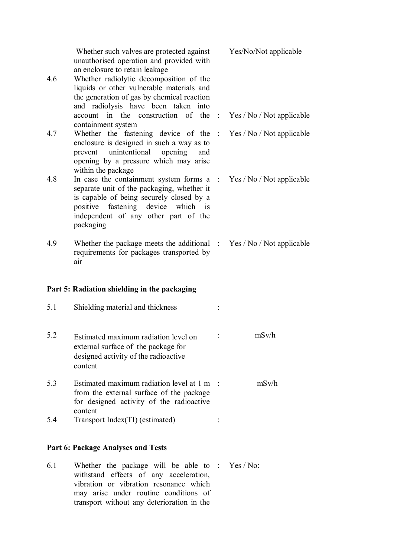| 4.6 | Whether such valves are protected against<br>unauthorised operation and provided with<br>an enclosure to retain leakage<br>Whether radiolytic decomposition of the<br>liquids or other vulnerable materials and<br>the generation of gas by chemical reaction | Yes/No/Not applicable |
|-----|---------------------------------------------------------------------------------------------------------------------------------------------------------------------------------------------------------------------------------------------------------------|-----------------------|
|     | and radiolysis have been taken into<br>account in the construction of the : Yes / No / Not applicable                                                                                                                                                         |                       |
| 4.7 | containment system<br>Whether the fastening device of the : Yes / No / Not applicable<br>enclosure is designed in such a way as to<br>prevent unintentional opening<br>and<br>opening by a pressure which may arise<br>within the package                     |                       |
| 4.8 | In case the containment system forms $a : Yes / No / Not applicable$<br>separate unit of the packaging, whether it<br>is capable of being securely closed by a<br>positive fastening device which is<br>independent of any other part of the<br>packaging     |                       |
| 4.9 | Whether the package meets the additional $\therefore$ Yes / No / Not applicable<br>requirements for packages transported by<br>air                                                                                                                            |                       |
|     | Part 5: Radiation shielding in the packaging                                                                                                                                                                                                                  |                       |
| 5.1 | Shielding material and thickness                                                                                                                                                                                                                              |                       |
| 5.2 | Estimated maximum radiation level on<br>external surface of the package for<br>designed activity of the radioactive<br>content                                                                                                                                | mSv/h                 |
| 5.3 | Estimated maximum radiation level at 1 m<br>from the external surface of the package<br>for designed activity of the radioactive<br>content                                                                                                                   | mSv/h                 |
| 5.4 | Transport Index(TI) (estimated)                                                                                                                                                                                                                               |                       |
|     | <b>Part 6: Package Analyses and Tests</b>                                                                                                                                                                                                                     |                       |
| 6.1 | Whether the package will be able to : $Yes/No$ :<br>withstand effects of any acceleration,                                                                                                                                                                    |                       |

withstand effects of any acceleration, vibration or vibration resonance which may arise under routine conditions of transport without any deterioration in the